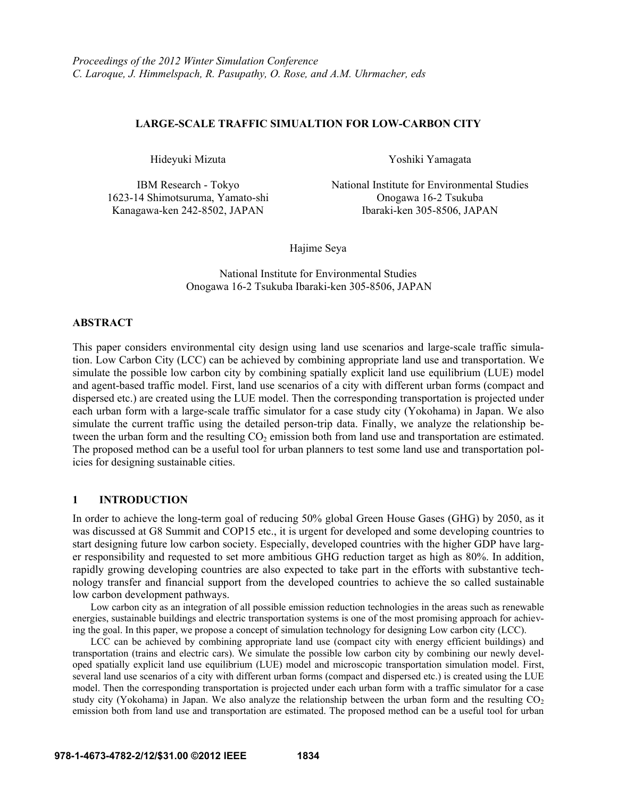## **LARGE-SCALE TRAFFIC SIMUALTION FOR LOW-CARBON CITY**

1623-14 Shimotsuruma, Yamato-shi Onogawa 16-2 Tsukuba

Hideyuki Mizuta Yoshiki Yamagata

IBM Research - Tokyo National Institute for Environmental Studies Kanagawa-ken 242-8502, JAPAN Ibaraki-ken 305-8506, JAPAN

Hajime Seya

National Institute for Environmental Studies Onogawa 16-2 Tsukuba Ibaraki-ken 305-8506, JAPAN

## **ABSTRACT**

This paper considers environmental city design using land use scenarios and large-scale traffic simulation. Low Carbon City (LCC) can be achieved by combining appropriate land use and transportation. We simulate the possible low carbon city by combining spatially explicit land use equilibrium (LUE) model and agent-based traffic model. First, land use scenarios of a city with different urban forms (compact and dispersed etc.) are created using the LUE model. Then the corresponding transportation is projected under each urban form with a large-scale traffic simulator for a case study city (Yokohama) in Japan. We also simulate the current traffic using the detailed person-trip data. Finally, we analyze the relationship between the urban form and the resulting  $CO<sub>2</sub>$  emission both from land use and transportation are estimated. The proposed method can be a useful tool for urban planners to test some land use and transportation policies for designing sustainable cities.

## **1 INTRODUCTION**

In order to achieve the long-term goal of reducing 50% global Green House Gases (GHG) by 2050, as it was discussed at G8 Summit and COP15 etc., it is urgent for developed and some developing countries to start designing future low carbon society. Especially, developed countries with the higher GDP have larger responsibility and requested to set more ambitious GHG reduction target as high as 80%. In addition, rapidly growing developing countries are also expected to take part in the efforts with substantive technology transfer and financial support from the developed countries to achieve the so called sustainable low carbon development pathways.

Low carbon city as an integration of all possible emission reduction technologies in the areas such as renewable energies, sustainable buildings and electric transportation systems is one of the most promising approach for achieving the goal. In this paper, we propose a concept of simulation technology for designing Low carbon city (LCC).

LCC can be achieved by combining appropriate land use (compact city with energy efficient buildings) and transportation (trains and electric cars). We simulate the possible low carbon city by combining our newly developed spatially explicit land use equilibrium (LUE) model and microscopic transportation simulation model. First, several land use scenarios of a city with different urban forms (compact and dispersed etc.) is created using the LUE model. Then the corresponding transportation is projected under each urban form with a traffic simulator for a case study city (Yokohama) in Japan. We also analyze the relationship between the urban form and the resulting  $CO<sub>2</sub>$ emission both from land use and transportation are estimated. The proposed method can be a useful tool for urban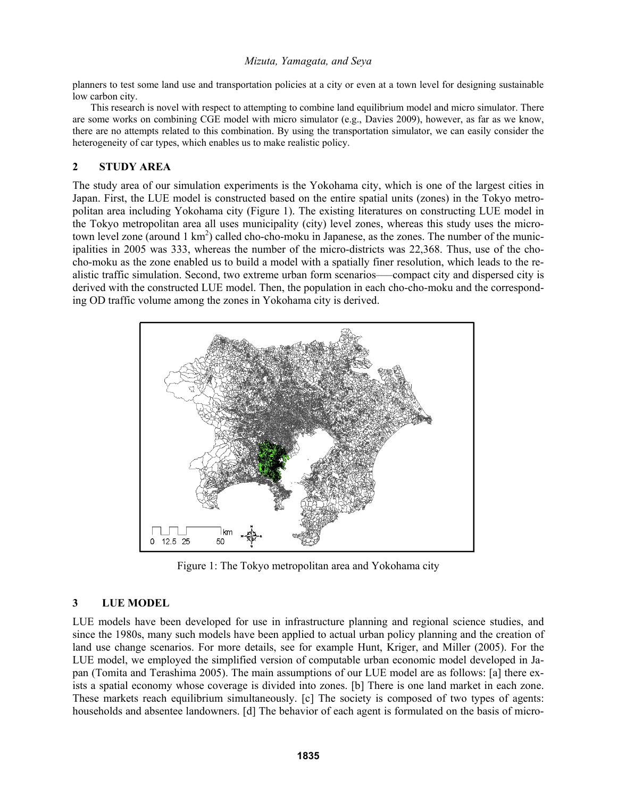planners to test some land use and transportation policies at a city or even at a town level for designing sustainable low carbon city.

This research is novel with respect to attempting to combine land equilibrium model and micro simulator. There are some works on combining CGE model with micro simulator (e.g., Davies 2009), however, as far as we know, there are no attempts related to this combination. By using the transportation simulator, we can easily consider the heterogeneity of car types, which enables us to make realistic policy.

# **2 STUDY AREA**

The study area of our simulation experiments is the Yokohama city, which is one of the largest cities in Japan. First, the LUE model is constructed based on the entire spatial units (zones) in the Tokyo metropolitan area including Yokohama city (Figure 1). The existing literatures on constructing LUE model in the Tokyo metropolitan area all uses municipality (city) level zones, whereas this study uses the microtown level zone (around  $1 \text{ km}^2$ ) called cho-cho-moku in Japanese, as the zones. The number of the municipalities in 2005 was 333, whereas the number of the micro-districts was 22,368. Thus, use of the chocho-moku as the zone enabled us to build a model with a spatially finer resolution, which leads to the realistic traffic simulation. Second, two extreme urban form scenarios–––compact city and dispersed city is derived with the constructed LUE model. Then, the population in each cho-cho-moku and the corresponding OD traffic volume among the zones in Yokohama city is derived.



Figure 1: The Tokyo metropolitan area and Yokohama city

# **3 LUE MODEL**

LUE models have been developed for use in infrastructure planning and regional science studies, and since the 1980s, many such models have been applied to actual urban policy planning and the creation of land use change scenarios. For more details, see for example Hunt, Kriger, and Miller (2005). For the LUE model, we employed the simplified version of computable urban economic model developed in Japan (Tomita and Terashima 2005). The main assumptions of our LUE model are as follows: [a] there exists a spatial economy whose coverage is divided into zones. [b] There is one land market in each zone. These markets reach equilibrium simultaneously. [c] The society is composed of two types of agents: households and absentee landowners. [d] The behavior of each agent is formulated on the basis of micro-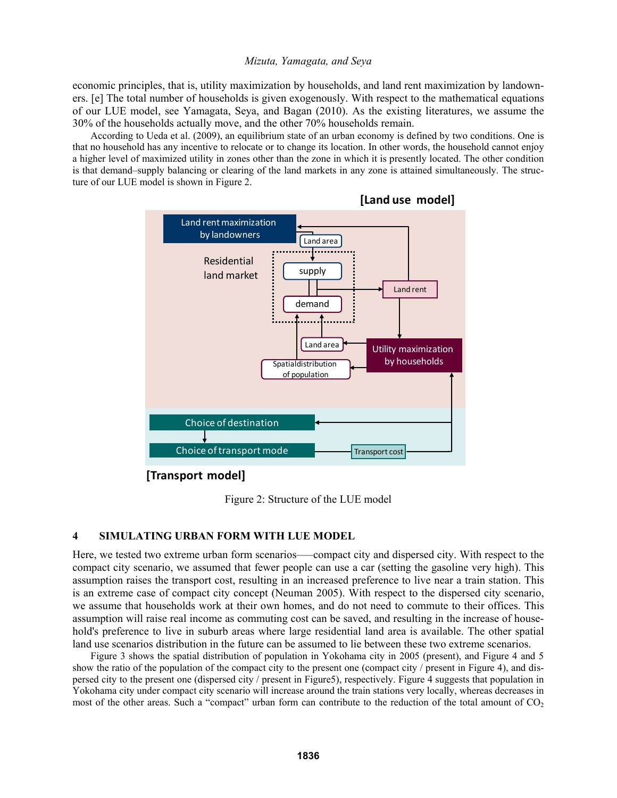economic principles, that is, utility maximization by households, and land rent maximization by landowners. [e] The total number of households is given exogenously. With respect to the mathematical equations of our LUE model, see Yamagata, Seya, and Bagan (2010). As the existing literatures, we assume the 30% of the households actually move, and the other 70% households remain.

According to Ueda et al. (2009), an equilibrium state of an urban economy is defined by two conditions. One is that no household has any incentive to relocate or to change its location. In other words, the household cannot enjoy a higher level of maximized utility in zones other than the zone in which it is presently located. The other condition is that demand–supply balancing or clearing of the land markets in any zone is attained simultaneously. The structure of our LUE model is shown in Figure 2.



**[Transport model]**

Figure 2: Structure of the LUE model

#### **4 SIMULATING URBAN FORM WITH LUE MODEL**

Here, we tested two extreme urban form scenarios–––compact city and dispersed city. With respect to the compact city scenario, we assumed that fewer people can use a car (setting the gasoline very high). This assumption raises the transport cost, resulting in an increased preference to live near a train station. This is an extreme case of compact city concept (Neuman 2005). With respect to the dispersed city scenario, we assume that households work at their own homes, and do not need to commute to their offices. This assumption will raise real income as commuting cost can be saved, and resulting in the increase of household's preference to live in suburb areas where large residential land area is available. The other spatial land use scenarios distribution in the future can be assumed to lie between these two extreme scenarios.

Figure 3 shows the spatial distribution of population in Yokohama city in 2005 (present), and Figure 4 and 5 show the ratio of the population of the compact city to the present one (compact city / present in Figure 4), and dispersed city to the present one (dispersed city / present in Figure5), respectively. Figure 4 suggests that population in Yokohama city under compact city scenario will increase around the train stations very locally, whereas decreases in most of the other areas. Such a "compact" urban form can contribute to the reduction of the total amount of  $CO<sub>2</sub>$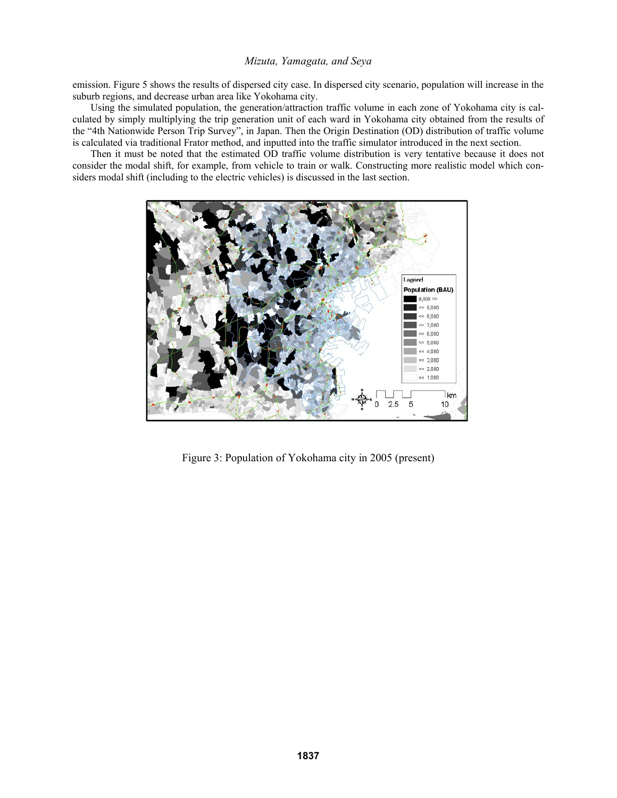emission. Figure 5 shows the results of dispersed city case. In dispersed city scenario, population will increase in the suburb regions, and decrease urban area like Yokohama city.

Using the simulated population, the generation/attraction traffic volume in each zone of Yokohama city is calculated by simply multiplying the trip generation unit of each ward in Yokohama city obtained from the results of the "4th Nationwide Person Trip Survey", in Japan. Then the Origin Destination (OD) distribution of traffic volume is calculated via traditional Frator method, and inputted into the traffic simulator introduced in the next section.

Then it must be noted that the estimated OD traffic volume distribution is very tentative because it does not consider the modal shift, for example, from vehicle to train or walk. Constructing more realistic model which considers modal shift (including to the electric vehicles) is discussed in the last section.



Figure 3: Population of Yokohama city in 2005 (present)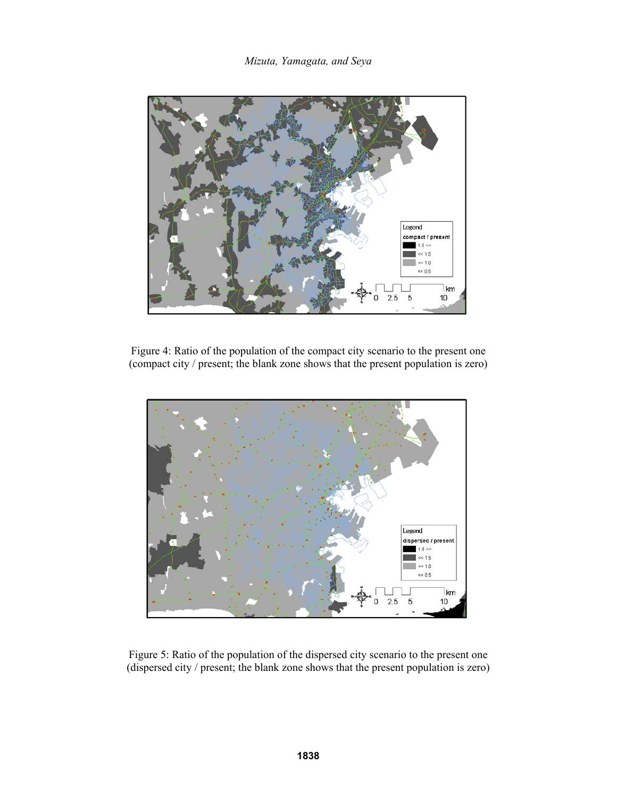

Figure 4: Ratio of the population of the compact city scenario to the present one (compact city / present; the blank zone shows that the present population is zero)



Figure 5: Ratio of the population of the dispersed city scenario to the present one (dispersed city / present; the blank zone shows that the present population is zero)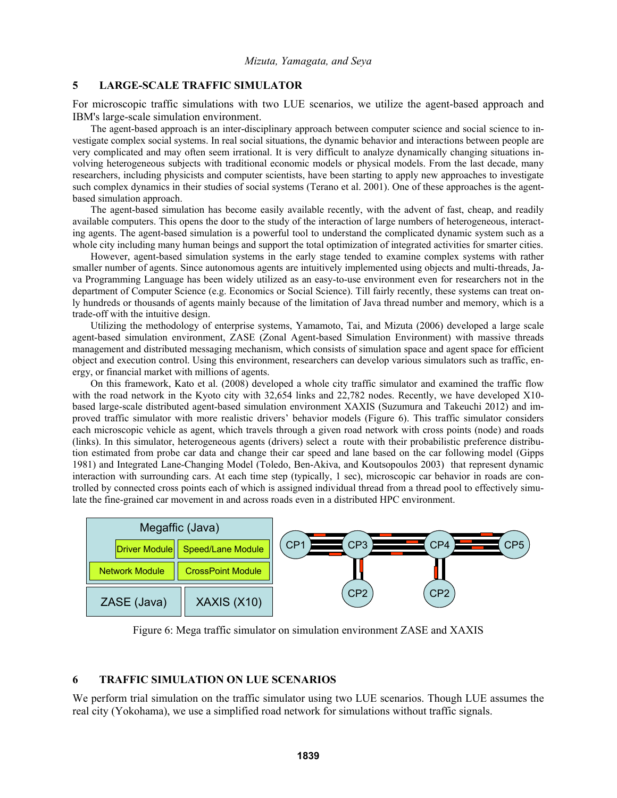## **5 LARGE-SCALE TRAFFIC SIMULATOR**

For microscopic traffic simulations with two LUE scenarios, we utilize the agent-based approach and IBM's large-scale simulation environment.

The agent-based approach is an inter-disciplinary approach between computer science and social science to investigate complex social systems. In real social situations, the dynamic behavior and interactions between people are very complicated and may often seem irrational. It is very difficult to analyze dynamically changing situations involving heterogeneous subjects with traditional economic models or physical models. From the last decade, many researchers, including physicists and computer scientists, have been starting to apply new approaches to investigate such complex dynamics in their studies of social systems (Terano et al. 2001). One of these approaches is the agentbased simulation approach.

The agent-based simulation has become easily available recently, with the advent of fast, cheap, and readily available computers. This opens the door to the study of the interaction of large numbers of heterogeneous, interacting agents. The agent-based simulation is a powerful tool to understand the complicated dynamic system such as a whole city including many human beings and support the total optimization of integrated activities for smarter cities.

However, agent-based simulation systems in the early stage tended to examine complex systems with rather smaller number of agents. Since autonomous agents are intuitively implemented using objects and multi-threads, Java Programming Language has been widely utilized as an easy-to-use environment even for researchers not in the department of Computer Science (e.g. Economics or Social Science). Till fairly recently, these systems can treat only hundreds or thousands of agents mainly because of the limitation of Java thread number and memory, which is a trade-off with the intuitive design.

Utilizing the methodology of enterprise systems, Yamamoto, Tai, and Mizuta (2006) developed a large scale agent-based simulation environment, ZASE (Zonal Agent-based Simulation Environment) with massive threads management and distributed messaging mechanism, which consists of simulation space and agent space for efficient object and execution control. Using this environment, researchers can develop various simulators such as traffic, energy, or financial market with millions of agents.

On this framework, Kato et al. (2008) developed a whole city traffic simulator and examined the traffic flow with the road network in the Kyoto city with 32,654 links and 22,782 nodes. Recently, we have developed X10based large-scale distributed agent-based simulation environment XAXIS (Suzumura and Takeuchi 2012) and improved traffic simulator with more realistic drivers' behavior models (Figure 6). This traffic simulator considers each microscopic vehicle as agent, which travels through a given road network with cross points (node) and roads (links). In this simulator, heterogeneous agents (drivers) select a route with their probabilistic preference distribution estimated from probe car data and change their car speed and lane based on the car following model (Gipps 1981) and Integrated Lane-Changing Model (Toledo, Ben-Akiva, and Koutsopoulos 2003) that represent dynamic interaction with surrounding cars. At each time step (typically, 1 sec), microscopic car behavior in roads are controlled by connected cross points each of which is assigned individual thread from a thread pool to effectively simulate the fine-grained car movement in and across roads even in a distributed HPC environment.



Figure 6: Mega traffic simulator on simulation environment ZASE and XAXIS

#### **6 TRAFFIC SIMULATION ON LUE SCENARIOS**

We perform trial simulation on the traffic simulator using two LUE scenarios. Though LUE assumes the real city (Yokohama), we use a simplified road network for simulations without traffic signals.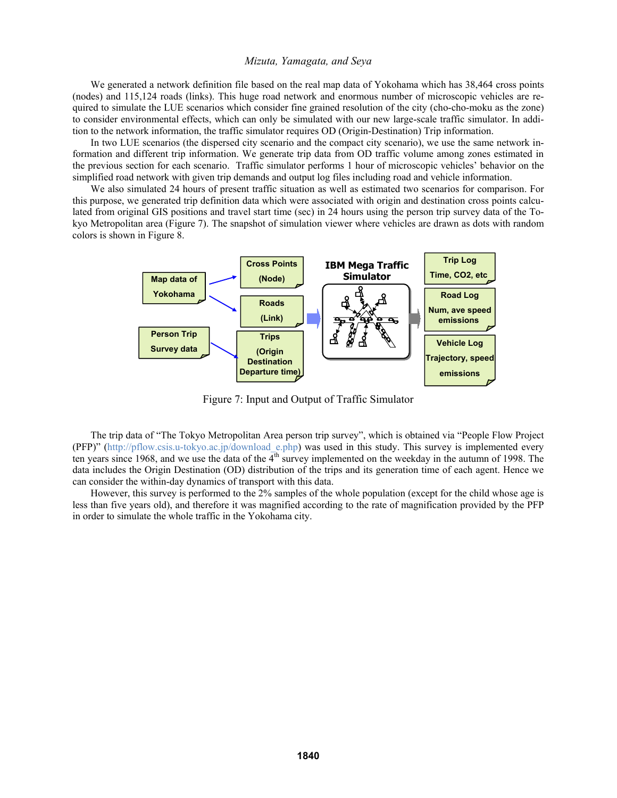We generated a network definition file based on the real map data of Yokohama which has 38,464 cross points (nodes) and 115,124 roads (links). This huge road network and enormous number of microscopic vehicles are required to simulate the LUE scenarios which consider fine grained resolution of the city (cho-cho-moku as the zone) to consider environmental effects, which can only be simulated with our new large-scale traffic simulator. In addition to the network information, the traffic simulator requires OD (Origin-Destination) Trip information.

In two LUE scenarios (the dispersed city scenario and the compact city scenario), we use the same network information and different trip information. We generate trip data from OD traffic volume among zones estimated in the previous section for each scenario. Traffic simulator performs 1 hour of microscopic vehicles' behavior on the simplified road network with given trip demands and output log files including road and vehicle information.

We also simulated 24 hours of present traffic situation as well as estimated two scenarios for comparison. For this purpose, we generated trip definition data which were associated with origin and destination cross points calculated from original GIS positions and travel start time (sec) in 24 hours using the person trip survey data of the Tokyo Metropolitan area (Figure 7). The snapshot of simulation viewer where vehicles are drawn as dots with random colors is shown in Figure 8.



Figure 7: Input and Output of Traffic Simulator

The trip data of "The Tokyo Metropolitan Area person trip survey", which is obtained via "People Flow Project (PFP)" (http://pflow.csis.u-tokyo.ac.jp/download\_e.php) was used in this study. This survey is implemented every ten years since 1968, and we use the data of the  $\overline{4}^{\text{th}}$  survey implemented on the weekday in the autumn of 1998. The data includes the Origin Destination (OD) distribution of the trips and its generation time of each agent. Hence we can consider the within-day dynamics of transport with this data.

However, this survey is performed to the 2% samples of the whole population (except for the child whose age is less than five years old), and therefore it was magnified according to the rate of magnification provided by the PFP in order to simulate the whole traffic in the Yokohama city.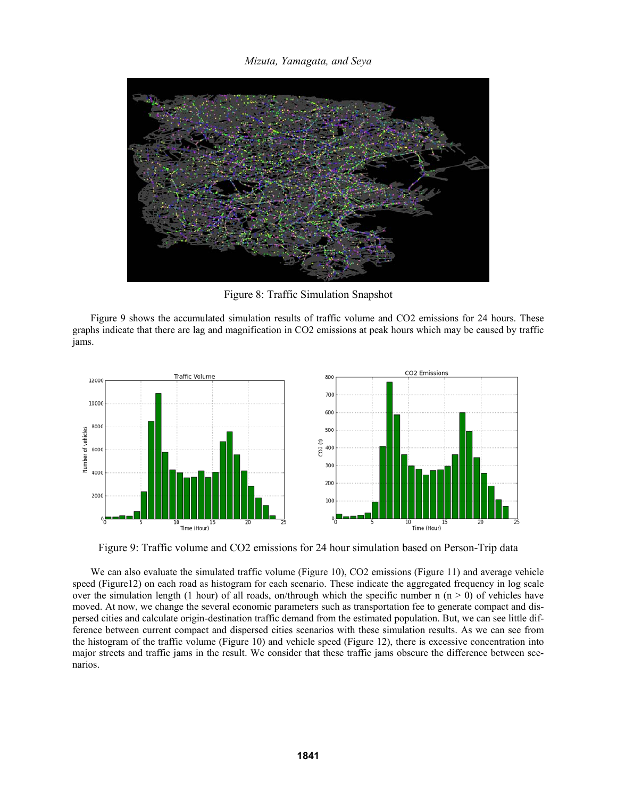

Figure 8: Traffic Simulation Snapshot

Figure 9 shows the accumulated simulation results of traffic volume and CO2 emissions for 24 hours. These graphs indicate that there are lag and magnification in CO2 emissions at peak hours which may be caused by traffic jams.



Figure 9: Traffic volume and CO2 emissions for 24 hour simulation based on Person-Trip data

We can also evaluate the simulated traffic volume (Figure 10), CO2 emissions (Figure 11) and average vehicle speed (Figure12) on each road as histogram for each scenario. These indicate the aggregated frequency in log scale over the simulation length (1 hour) of all roads, on/through which the specific number n  $(n > 0)$  of vehicles have moved. At now, we change the several economic parameters such as transportation fee to generate compact and dispersed cities and calculate origin-destination traffic demand from the estimated population. But, we can see little difference between current compact and dispersed cities scenarios with these simulation results. As we can see from the histogram of the traffic volume (Figure 10) and vehicle speed (Figure 12), there is excessive concentration into major streets and traffic jams in the result. We consider that these traffic jams obscure the difference between scenarios.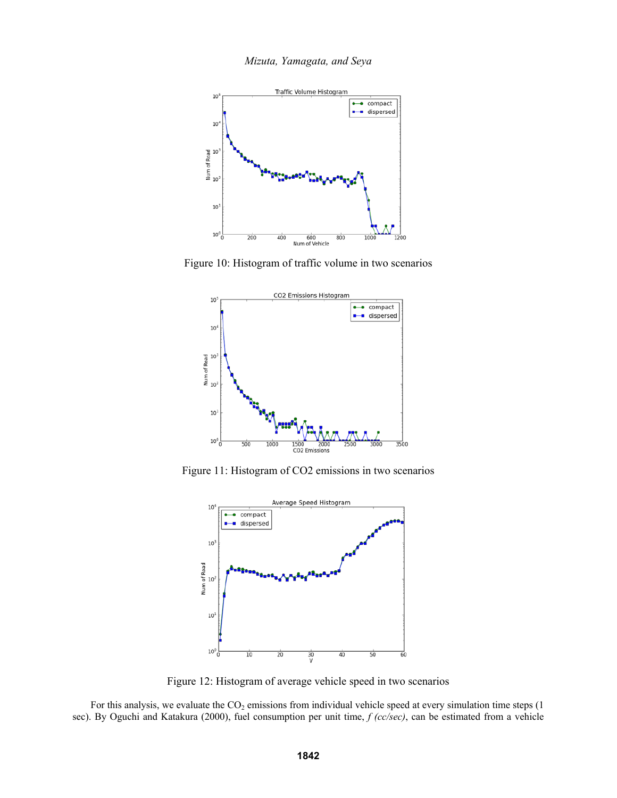



Figure 10: Histogram of traffic volume in two scenarios



Figure 11: Histogram of CO2 emissions in two scenarios



Figure 12: Histogram of average vehicle speed in two scenarios

For this analysis, we evaluate the  $CO<sub>2</sub>$  emissions from individual vehicle speed at every simulation time steps (1) sec). By Oguchi and Katakura (2000), fuel consumption per unit time, *f (cc/sec)*, can be estimated from a vehicle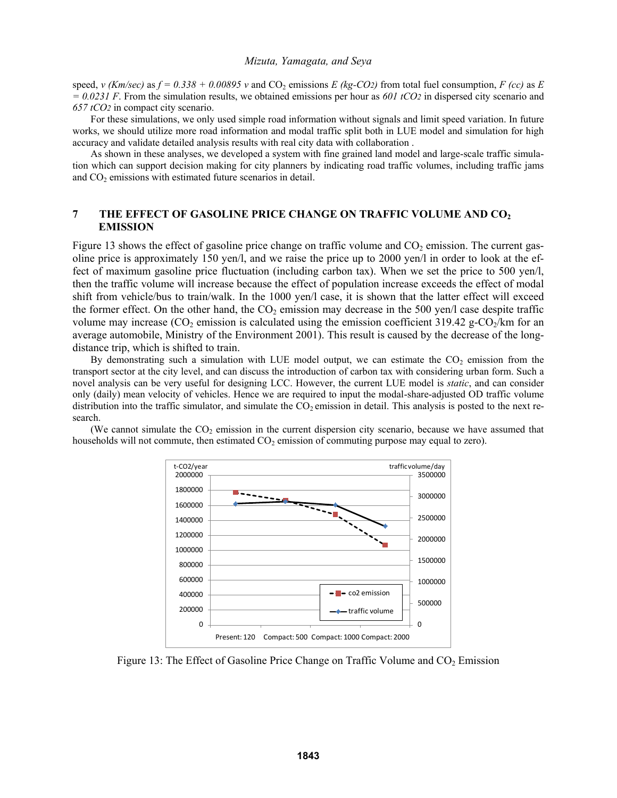speed, *v* (Km/sec) as  $f = 0.338 + 0.00895$  *v* and CO<sub>2</sub> emissions *E* (kg-CO2) from total fuel consumption, *F* (cc) as *E = 0.0231 F*. From the simulation results, we obtained emissions per hour as *601 tCO2* in dispersed city scenario and *657 tCO2* in compact city scenario.

For these simulations, we only used simple road information without signals and limit speed variation. In future works, we should utilize more road information and modal traffic split both in LUE model and simulation for high accuracy and validate detailed analysis results with real city data with collaboration .

As shown in these analyses, we developed a system with fine grained land model and large-scale traffic simulation which can support decision making for city planners by indicating road traffic volumes, including traffic jams and  $CO<sub>2</sub>$  emissions with estimated future scenarios in detail.

## **7 THE EFFECT OF GASOLINE PRICE CHANGE ON TRAFFIC VOLUME AND CO2 EMISSION**

Figure 13 shows the effect of gasoline price change on traffic volume and  $CO<sub>2</sub>$  emission. The current gasoline price is approximately 150 yen/l, and we raise the price up to 2000 yen/l in order to look at the effect of maximum gasoline price fluctuation (including carbon tax). When we set the price to 500 yen/l, then the traffic volume will increase because the effect of population increase exceeds the effect of modal shift from vehicle/bus to train/walk. In the 1000 yen/l case, it is shown that the latter effect will exceed the former effect. On the other hand, the  $CO<sub>2</sub>$  emission may decrease in the 500 yen/l case despite traffic volume may increase (CO<sub>2</sub> emission is calculated using the emission coefficient  $319.42$  g-CO<sub>2</sub>/km for an average automobile, Ministry of the Environment 2001). This result is caused by the decrease of the longdistance trip, which is shifted to train.

By demonstrating such a simulation with LUE model output, we can estimate the  $CO<sub>2</sub>$  emission from the transport sector at the city level, and can discuss the introduction of carbon tax with considering urban form. Such a novel analysis can be very useful for designing LCC. However, the current LUE model is *static*, and can consider only (daily) mean velocity of vehicles. Hence we are required to input the modal-share-adjusted OD traffic volume distribution into the traffic simulator, and simulate the  $CO<sub>2</sub>$  emission in detail. This analysis is posted to the next research.

(We cannot simulate the  $CO<sub>2</sub>$  emission in the current dispersion city scenario, because we have assumed that households will not commute, then estimated  $CO<sub>2</sub>$  emission of commuting purpose may equal to zero).



Figure 13: The Effect of Gasoline Price Change on Traffic Volume and  $CO<sub>2</sub>$  Emission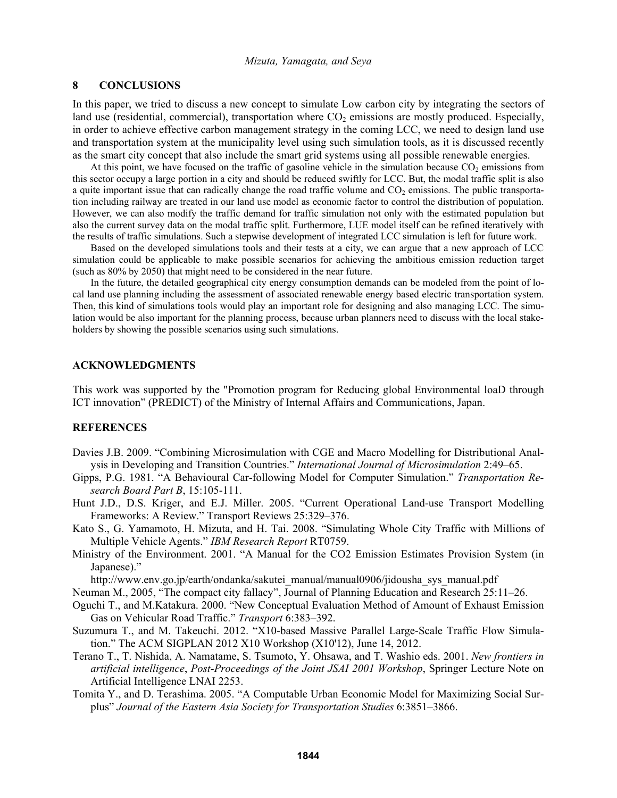### **8 CONCLUSIONS**

In this paper, we tried to discuss a new concept to simulate Low carbon city by integrating the sectors of land use (residential, commercial), transportation where  $CO<sub>2</sub>$  emissions are mostly produced. Especially, in order to achieve effective carbon management strategy in the coming LCC, we need to design land use and transportation system at the municipality level using such simulation tools, as it is discussed recently as the smart city concept that also include the smart grid systems using all possible renewable energies.

At this point, we have focused on the traffic of gasoline vehicle in the simulation because  $CO<sub>2</sub>$  emissions from this sector occupy a large portion in a city and should be reduced swiftly for LCC. But, the modal traffic split is also a quite important issue that can radically change the road traffic volume and  $CO<sub>2</sub>$  emissions. The public transportation including railway are treated in our land use model as economic factor to control the distribution of population. However, we can also modify the traffic demand for traffic simulation not only with the estimated population but also the current survey data on the modal traffic split. Furthermore, LUE model itself can be refined iteratively with the results of traffic simulations. Such a stepwise development of integrated LCC simulation is left for future work.

Based on the developed simulations tools and their tests at a city, we can argue that a new approach of LCC simulation could be applicable to make possible scenarios for achieving the ambitious emission reduction target (such as 80% by 2050) that might need to be considered in the near future.

In the future, the detailed geographical city energy consumption demands can be modeled from the point of local land use planning including the assessment of associated renewable energy based electric transportation system. Then, this kind of simulations tools would play an important role for designing and also managing LCC. The simulation would be also important for the planning process, because urban planners need to discuss with the local stakeholders by showing the possible scenarios using such simulations.

# **ACKNOWLEDGMENTS**

This work was supported by the "Promotion program for Reducing global Environmental loaD through ICT innovation" (PREDICT) of the Ministry of Internal Affairs and Communications, Japan.

## **REFERENCES**

- Davies J.B. 2009. "Combining Microsimulation with CGE and Macro Modelling for Distributional Analysis in Developing and Transition Countries." *International Journal of Microsimulation* 2:49–65.
- Gipps, P.G. 1981. "A Behavioural Car-following Model for Computer Simulation." *Transportation Research Board Part B*, 15:105-111.
- Hunt J.D., D.S. Kriger, and E.J. Miller. 2005. "Current Operational Land-use Transport Modelling Frameworks: A Review." Transport Reviews 25:329–376.
- Kato S., G. Yamamoto, H. Mizuta, and H. Tai. 2008. "Simulating Whole City Traffic with Millions of Multiple Vehicle Agents." *IBM Research Report* RT0759.
- Ministry of the Environment. 2001. "A Manual for the CO2 Emission Estimates Provision System (in Japanese)."

http://www.env.go.jp/earth/ondanka/sakutei\_manual/manual0906/jidousha\_sys\_manual.pdf

- Neuman M., 2005, "The compact city fallacy", Journal of Planning Education and Research 25:11–26.
- Oguchi T., and M.Katakura. 2000. "New Conceptual Evaluation Method of Amount of Exhaust Emission Gas on Vehicular Road Traffic." *Transport* 6:383–392.
- Suzumura T., and M. Takeuchi. 2012. "X10-based Massive Parallel Large-Scale Traffic Flow Simulation." The ACM SIGPLAN 2012 X10 Workshop (X10'12), June 14, 2012.
- Terano T., T. Nishida, A. Namatame, S. Tsumoto, Y. Ohsawa, and T. Washio eds. 2001. *New frontiers in artificial intelligence*, *Post-Proceedings of the Joint JSAI 2001 Workshop*, Springer Lecture Note on Artificial Intelligence LNAI 2253.
- Tomita Y., and D. Terashima. 2005. "A Computable Urban Economic Model for Maximizing Social Surplus" *Journal of the Eastern Asia Society for Transportation Studies* 6:3851–3866.